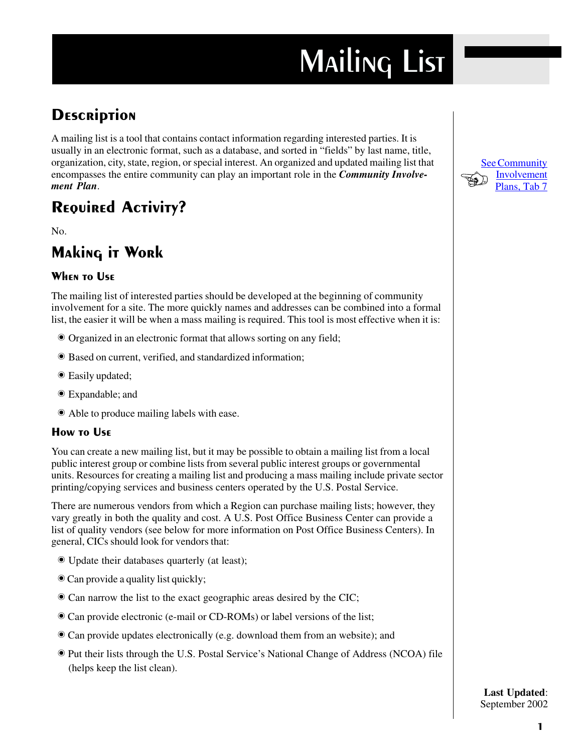# **MAILING LIST**

## **DESCRIPTION**

A mailing list is a tool that contains contact information regarding interested parties. It is usually in an electronic format, such as a database, and sorted in "fields" by last name, title, organization, city, state, region, or special interest. An organized and updated mailing list that encompasses the entire community can play an important role in the *Community Involve* ment Plan.

## **REQUIRED ACTIVITY?**

No.

### **Making it Work**

#### **WHEN TO USE**

The mailing list of interested parties should be developed at the beginning of community involvement for a site. The more quickly names and addresses can be combined into a formal list, the easier it will be when a mass mailing is required. This tool is most effective when it is:

- Organized in an electronic format that allows sorting on any field;
- Based on current, verified, and standardized information;
- Easily updated;
- Expandable; and
- Able to produce mailing labels with ease.

#### **How TO USE**

You can create a new mailing list, but it may be possible to obtain a mailing list from a local public interest group or combine lists from several public interest groups or governmental units. Resources for creating a mailing list and producing a mass mailing include private sector printing/copying services and business centers operated by the U.S. Postal Service.

There are numerous vendors from which a Region can purchase mailing lists; however, they vary greatly in both the quality and cost. A U.S. Post Office Business Center can provide a list of quality vendors (see below for more information on Post Office Business Centers). In general, CICs should look for vendors that:

- Update their databases quarterly (at least);
- Can provide a quality list quickly;
- Can narrow the list to the exact geographic areas desired by the CIC;
- Can provide electronic (e-mail or CD-ROMs) or label versions of the list;
- Can provide updates electronically (e.g. download them from an website); and
- Put their lists through the U.S. Postal Service's National Change of Address (NCOA) file (helps keep the list clean).



**Last Updated:** September 2002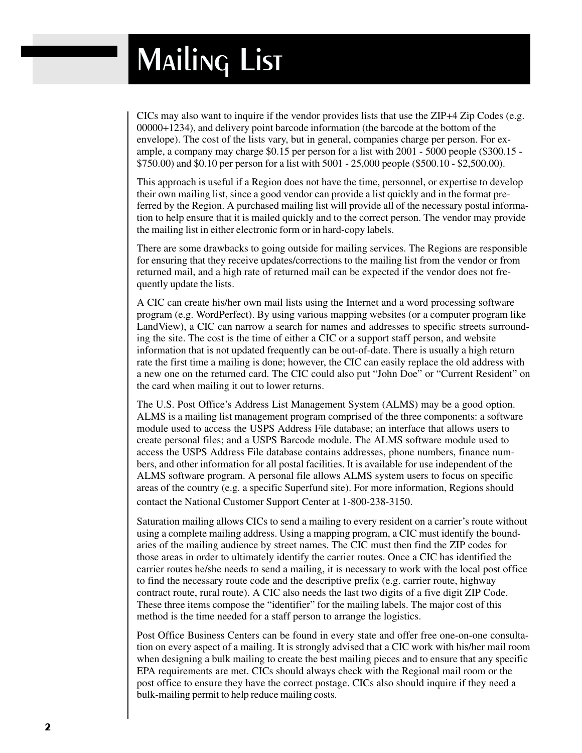CICs may also want to inquire if the vendor provides lists that use the ZIP+4 Zip Codes (e.g. 00000+1234), and delivery point barcode information (the barcode at the bottom of the envelope). The cost of the lists vary, but in general, companies charge per person. For example, a company may charge \$0.15 per person for a list with 2001 - 5000 people (\$300.15 - \$750.00) and \$0.10 per person for a list with 5001 - 25,000 people (\$500.10 - \$2,500.00).

This approach is useful if a Region does not have the time, personnel, or expertise to develop their own mailing list, since a good vendor can provide a list quickly and in the format preferred by the Region. A purchased mailing list will provide all of the necessary postal information to help ensure that it is mailed quickly and to the correct person. The vendor may provide the mailing list in either electronic form or in hard-copy labels.

There are some drawbacks to going outside for mailing services. The Regions are responsible for ensuring that they receive updates/corrections to the mailing list from the vendor or from returned mail, and a high rate of returned mail can be expected if the vendor does not frequently update the lists.

A CIC can create his/her own mail lists using the Internet and a word processing software program (e.g. WordPerfect). By using various mapping websites (or a computer program like LandView), a CIC can narrow a search for names and addresses to specific streets surrounding the site. The cost is the time of either a CIC or a support staff person, and website information that is not updated frequently can be out-of-date. There is usually a high return rate the first time a mailing is done; however, the CIC can easily replace the old address with a new one on the returned card. The CIC could also put "John Doe" or "Current Resident" on the card when mailing it out to lower returns.

The U.S. Post Office's Address List Management System (ALMS) may be a good option. ALMS is a mailing list management program comprised of the three components: a software module used to access the USPS Address File database; an interface that allows users to create personal files; and a USPS Barcode module. The ALMS software module used to access the USPS Address File database contains addresses, phone numbers, finance numbers, and other information for all postal facilities. It is available for use independent of the ALMS software program. A personal file allows ALMS system users to focus on specific areas of the country (e.g. a specific Superfund site). For more information, Regions should contact the National Customer Support Center at 1-800-238-3150.

Saturation mailing allows CICs to send a mailing to every resident on a carrier's route without using a complete mailing address. Using a mapping program, a CIC must identify the boundaries of the mailing audience by street names. The CIC must then find the ZIP codes for those areas in order to ultimately identify the carrier routes. Once a CIC has identified the carrier routes he/she needs to send a mailing, it is necessary to work with the local post office to find the necessary route code and the descriptive prefix (e.g. carrier route, highway contract route, rural route). A CIC also needs the last two digits of a five digit ZIP Code. These three items compose the "identifier" for the mailing labels. The major cost of this method is the time needed for a staff person to arrange the logistics.

Post Office Business Centers can be found in every state and offer free one-on-one consultation on every aspect of a mailing. It is strongly advised that a CIC work with his/her mail room when designing a bulk mailing to create the best mailing pieces and to ensure that any specific EPA requirements are met. CICs should always check with the Regional mail room or the post office to ensure they have the correct postage. CICs also should inquire if they need a bulk-mailing permit to help reduce mailing costs.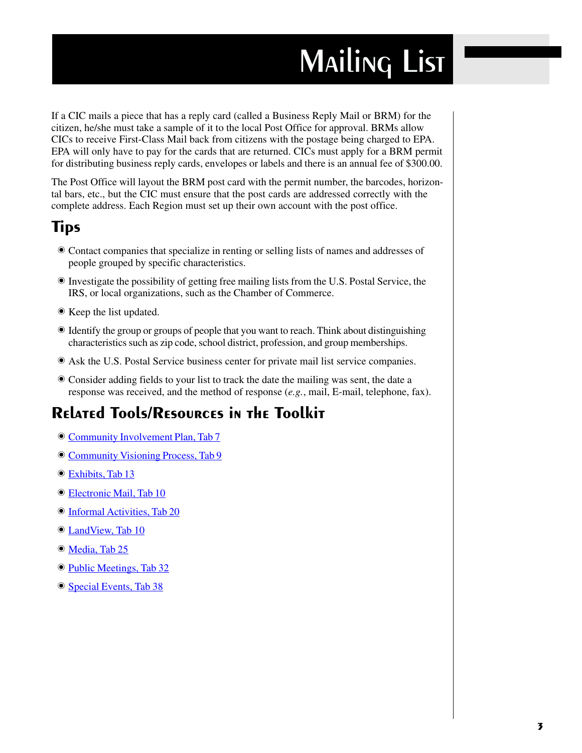## **MAILING LIST**

If a CIC mails a piece that has a reply card (called a Business Reply Mail or BRM) for the citizen, he/she must take a sample of it to the local Post Office for approval. BRMs allow CICs to receive First-Class Mail back from citizens with the postage being charged to EPA. EPA will only have to pay for the cards that are returned. CICs must apply for a BRM permit for distributing business reply cards, envelopes or labels and there is an annual fee of \$300.00.

The Post Office will layout the BRM post card with the permit number, the barcodes, horizontal bars, etc., but the CIC must ensure that the post cards are addressed correctly with the complete address. Each Region must set up their own account with the post office.

### **Tips**

- Contact companies that specialize in renting or selling lists of names and addresses of people grouped by specific characteristics.
- Investigate the possibility of getting free mailing lists from the U.S. Postal Service, the IRS, or local organizations, such as the Chamber of Commerce.
- Keep the list undated.
- Identify the group or groups of people that you want to reach. Think about distinguishing characteristics such as zip code, school district, profession, and group memberships.
- Ask the U.S. Postal Service business center for private mail list service companies.
- Consider adding fields to your list to track the date the mailing was sent, the date a response was received, and the method of response (e.g., mail, E-mail, telephone, fax).

### **Related Tools/Resources in the Toolkit**

- Community Involvement Plan, Tab 7
- **Community Visioning Process, Tab 9**
- Exhibits, Tab 13
- <sup>O</sup> Electronic Mail, Tab 10
- **Informal Activities, Tab 20**
- <sup>O</sup> LandView, Tab 10
- O Media, Tab 25
- **Public Meetings, Tab 32**
- Special Events, Tab 38